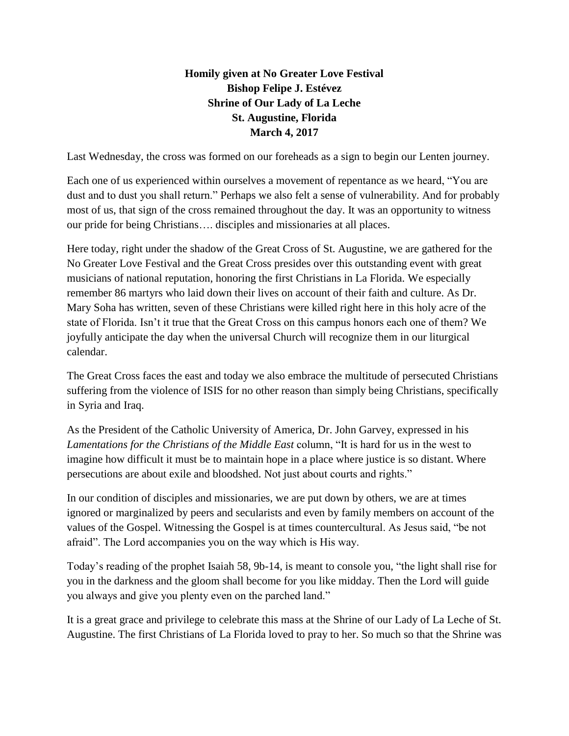## **Homily given at No Greater Love Festival Bishop Felipe J. Estévez Shrine of Our Lady of La Leche St. Augustine, Florida March 4, 2017**

Last Wednesday, the cross was formed on our foreheads as a sign to begin our Lenten journey.

Each one of us experienced within ourselves a movement of repentance as we heard, "You are dust and to dust you shall return." Perhaps we also felt a sense of vulnerability. And for probably most of us, that sign of the cross remained throughout the day. It was an opportunity to witness our pride for being Christians…. disciples and missionaries at all places.

Here today, right under the shadow of the Great Cross of St. Augustine, we are gathered for the No Greater Love Festival and the Great Cross presides over this outstanding event with great musicians of national reputation, honoring the first Christians in La Florida. We especially remember 86 martyrs who laid down their lives on account of their faith and culture. As Dr. Mary Soha has written, seven of these Christians were killed right here in this holy acre of the state of Florida. Isn't it true that the Great Cross on this campus honors each one of them? We joyfully anticipate the day when the universal Church will recognize them in our liturgical calendar.

The Great Cross faces the east and today we also embrace the multitude of persecuted Christians suffering from the violence of ISIS for no other reason than simply being Christians, specifically in Syria and Iraq.

As the President of the Catholic University of America, Dr. John Garvey, expressed in his *Lamentations for the Christians of the Middle East* column, "It is hard for us in the west to imagine how difficult it must be to maintain hope in a place where justice is so distant. Where persecutions are about exile and bloodshed. Not just about courts and rights."

In our condition of disciples and missionaries, we are put down by others, we are at times ignored or marginalized by peers and secularists and even by family members on account of the values of the Gospel. Witnessing the Gospel is at times countercultural. As Jesus said, "be not afraid". The Lord accompanies you on the way which is His way.

Today's reading of the prophet Isaiah 58, 9b-14, is meant to console you, "the light shall rise for you in the darkness and the gloom shall become for you like midday. Then the Lord will guide you always and give you plenty even on the parched land."

It is a great grace and privilege to celebrate this mass at the Shrine of our Lady of La Leche of St. Augustine. The first Christians of La Florida loved to pray to her. So much so that the Shrine was